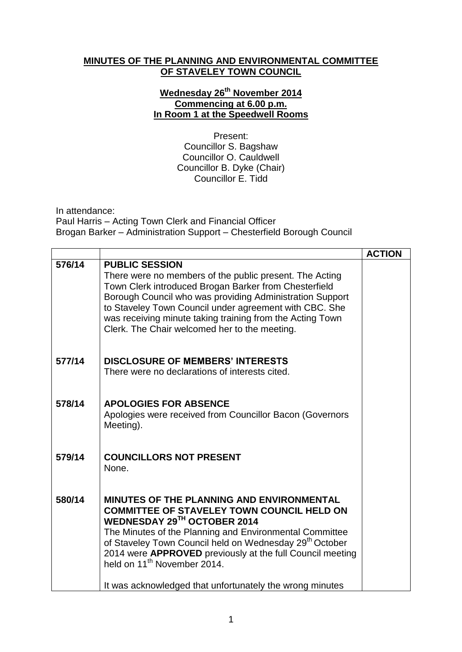## **MINUTES OF THE PLANNING AND ENVIRONMENTAL COMMITTEE OF STAVELEY TOWN COUNCIL**

## **Wednesday 26 th November 2014 Commencing at 6.00 p.m. In Room 1 at the Speedwell Rooms**

Present: Councillor S. Bagshaw Councillor O. Cauldwell Councillor B. Dyke (Chair) Councillor E. Tidd

In attendance:

Paul Harris – Acting Town Clerk and Financial Officer Brogan Barker – Administration Support – Chesterfield Borough Council

|        |                                                                                                                                                                                                                                                                                                                                                                                | <b>ACTION</b> |
|--------|--------------------------------------------------------------------------------------------------------------------------------------------------------------------------------------------------------------------------------------------------------------------------------------------------------------------------------------------------------------------------------|---------------|
| 576/14 | <b>PUBLIC SESSION</b><br>There were no members of the public present. The Acting<br>Town Clerk introduced Brogan Barker from Chesterfield<br>Borough Council who was providing Administration Support<br>to Staveley Town Council under agreement with CBC. She<br>was receiving minute taking training from the Acting Town<br>Clerk. The Chair welcomed her to the meeting.  |               |
| 577/14 | <b>DISCLOSURE OF MEMBERS' INTERESTS</b><br>There were no declarations of interests cited.                                                                                                                                                                                                                                                                                      |               |
| 578/14 | <b>APOLOGIES FOR ABSENCE</b><br>Apologies were received from Councillor Bacon (Governors<br>Meeting).                                                                                                                                                                                                                                                                          |               |
| 579/14 | <b>COUNCILLORS NOT PRESENT</b><br>None.                                                                                                                                                                                                                                                                                                                                        |               |
| 580/14 | <b>MINUTES OF THE PLANNING AND ENVIRONMENTAL</b><br><b>COMMITTEE OF STAVELEY TOWN COUNCIL HELD ON</b><br>WEDNESDAY 29TH OCTOBER 2014<br>The Minutes of the Planning and Environmental Committee<br>of Staveley Town Council held on Wednesday 29 <sup>th</sup> October<br>2014 were APPROVED previously at the full Council meeting<br>held on 11 <sup>th</sup> November 2014. |               |
|        | It was acknowledged that unfortunately the wrong minutes                                                                                                                                                                                                                                                                                                                       |               |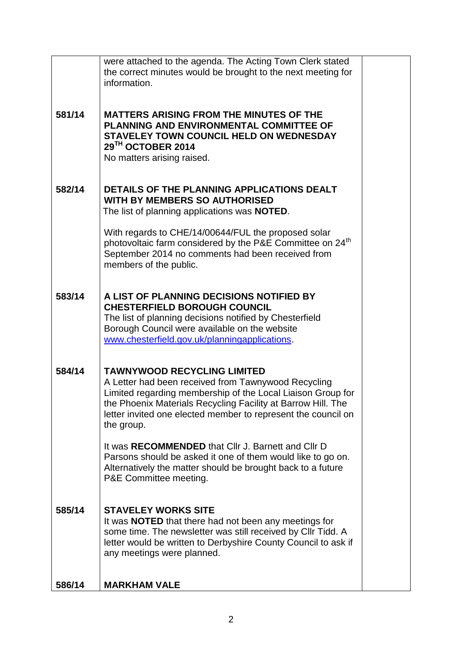|        | were attached to the agenda. The Acting Town Clerk stated<br>the correct minutes would be brought to the next meeting for<br>information.                                                                                                                                                               |  |
|--------|---------------------------------------------------------------------------------------------------------------------------------------------------------------------------------------------------------------------------------------------------------------------------------------------------------|--|
| 581/14 | <b>MATTERS ARISING FROM THE MINUTES OF THE</b><br>PLANNING AND ENVIRONMENTAL COMMITTEE OF<br>STAVELEY TOWN COUNCIL HELD ON WEDNESDAY<br>29TH OCTOBER 2014<br>No matters arising raised.                                                                                                                 |  |
| 582/14 | DETAILS OF THE PLANNING APPLICATIONS DEALT<br><b>WITH BY MEMBERS SO AUTHORISED</b><br>The list of planning applications was <b>NOTED</b> .                                                                                                                                                              |  |
|        | With regards to CHE/14/00644/FUL the proposed solar<br>photovoltaic farm considered by the P&E Committee on 24 <sup>th</sup><br>September 2014 no comments had been received from<br>members of the public.                                                                                             |  |
| 583/14 | A LIST OF PLANNING DECISIONS NOTIFIED BY<br><b>CHESTERFIELD BOROUGH COUNCIL</b><br>The list of planning decisions notified by Chesterfield<br>Borough Council were available on the website<br>www.chesterfield.gov.uk/planningapplications.                                                            |  |
| 584/14 | <b>TAWNYWOOD RECYCLING LIMITED</b><br>A Letter had been received from Tawnywood Recycling<br>Limited regarding membership of the Local Liaison Group for<br>the Phoenix Materials Recycling Facility at Barrow Hill. The<br>letter invited one elected member to represent the council on<br>the group. |  |
|        | It was RECOMMENDED that CIIr J. Barnett and CIIr D<br>Parsons should be asked it one of them would like to go on.<br>Alternatively the matter should be brought back to a future<br>P&E Committee meeting.                                                                                              |  |
| 585/14 | <b>STAVELEY WORKS SITE</b><br>It was <b>NOTED</b> that there had not been any meetings for<br>some time. The newsletter was still received by CIIr Tidd. A<br>letter would be written to Derbyshire County Council to ask if<br>any meetings were planned.                                              |  |
| 586/14 | <b>MARKHAM VALE</b>                                                                                                                                                                                                                                                                                     |  |